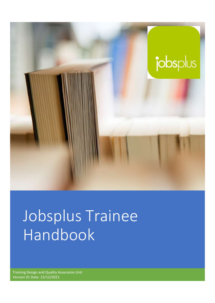

# Jobsplus Trainee Handbook

Training Design and Quality Assurance Unit Version 01 Date: 15/12/2021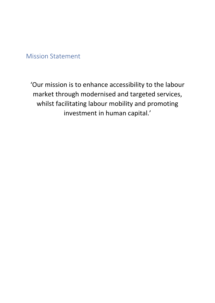Mission Statement

'Our mission is to enhance accessibility to the labour market through modernised and targeted services, whilst facilitating labour mobility and promoting investment in human capital.'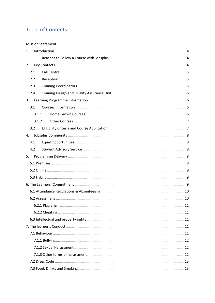# Table of Contents

| 1.    |  |  |  |  |
|-------|--|--|--|--|
| 1.1   |  |  |  |  |
| 2.    |  |  |  |  |
| 2.1   |  |  |  |  |
| 2.2   |  |  |  |  |
| 2.3   |  |  |  |  |
| 2.4   |  |  |  |  |
| 3.    |  |  |  |  |
| 3.1   |  |  |  |  |
| 3.1.1 |  |  |  |  |
| 3.1.2 |  |  |  |  |
| 3.2   |  |  |  |  |
| 4.    |  |  |  |  |
| 4.1   |  |  |  |  |
| 4.2   |  |  |  |  |
| 5.    |  |  |  |  |
|       |  |  |  |  |
|       |  |  |  |  |
|       |  |  |  |  |
|       |  |  |  |  |
|       |  |  |  |  |
|       |  |  |  |  |
|       |  |  |  |  |
|       |  |  |  |  |
|       |  |  |  |  |
|       |  |  |  |  |
|       |  |  |  |  |
|       |  |  |  |  |
|       |  |  |  |  |
|       |  |  |  |  |
|       |  |  |  |  |
|       |  |  |  |  |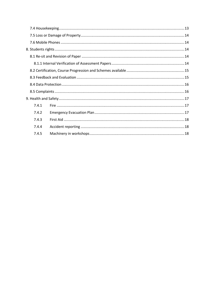| 7.4.1 |  |
|-------|--|
| 7.4.2 |  |
| 7.4.3 |  |
| 7.4.4 |  |
| 7.4.5 |  |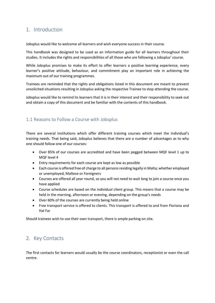# 1. Introduction

Jobsplus would like to welcome all learners and wish everyone success in their course.

This handbook was designed to be used as an information guide for all learners throughout their studies. It includes the rights and responsibilities of all those who are following a Jobsplus' course.

While Jobsplus promises to make its effort to offer learners a positive learning experience, every learner's positive attitude, behaviour, and commitment play an important role in achieving the maximum out of our training programmes.

Trainees are reminded that the rights and obligations listed in this document are meant to prevent unsolicited situations resulting in Jobsplus asking the respective Trainee to stop attending the course.

Jobsplus would like to remind its learners that it is in their interest and their responsibility to seek out and obtain a copy of this document and be familiar with the contents of this handbook.

# 1.1 Reasons to Follow a Course with Jobsplus

There are several institutions which offer different training courses which meet the individual's training needs. That being said, Jobsplus believes that there are a number of advantages as to why one should follow one of our courses:

- Over 85% of our courses are accredited and have been pegged between MQF level 1 up to MQF level 4
- Entry requirements for each course are kept as low as possible
- Each course is offered free of charge to all persons residing legally in Malta; whether employed or unemployed, Maltese or Foreigners
- Courses are offered all year round, so you will not need to wait long to join a course once you have applied
- Course schedules are based on the individual client group. This means that a course may be held in the morning, afternoon or evening, depending on the group's needs
- Over 60% of the courses are currently being held online
- Free transport service is offered to clients. This transport is offered to and from Floriana and Hal Far

Should trainees wish to use their own transport, there is ample parking on site.

# 2. Key Contacts

The first contacts for learners would usually be the course coordinators, receptionist or even the call centre.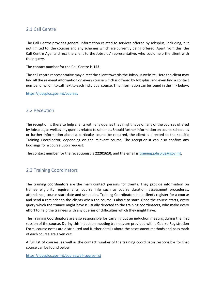# 2.1 Call Centre

The Call Centre provides general information related to services offered by Jobsplus, including, but not limited to, the courses and any schemes which are currently being offered. Apart from this, the Call Centre Agents direct the client to the Jobsplus' representative, who could help the client with their query.

The contact number for the Call Centre is 153.

The call centre representative may direct the client towards the Jobsplus website. Here the client may find all the relevant information on every course which is offered by Jobsplus, and even find a contact number of whom to call next to each individual course. This information can be found in the link below:

https://jobsplus.gov.mt/courses

# 2.2 Reception

The reception is there to help clients with any queries they might have on any of the courses offered by Jobsplus, as well as any queries related to schemes. Should further information on course schedules or further information about a particular course be required, the client is directed to the specific Training Coordinator, depending on the relevant course. The receptionist can also confirm any bookings for a course upon request.

The contact number for the receptionist is 22201610, and the email is training.jobsplus@gov.mt.

# 2.3 Training Coordinators

The training coordinators are the main contact persons for clients. They provide information on trainee eligibility requirements, course info such as course duration, assessment procedures, attendance, course start date and schedules. Training Coordinators help clients register for a course and send a reminder to the clients when the course is about to start. Once the course starts, every query which the trainee might have is usually directed to the training coordinators, who make every effort to help the trainees with any queries or difficulties which they might have.

The Training Coordinators are also responsible for carrying out an induction meeting during the first session of the course. During this induction meeting trainees are provided with a Course Registration Form, course notes are distributed and further details about the assessment methods and pass mark of each course are given out.

A full list of courses, as well as the contact number of the training coordinator responsible for that course can be found below:

https://jobsplus.gov.mt/courses/all-course-list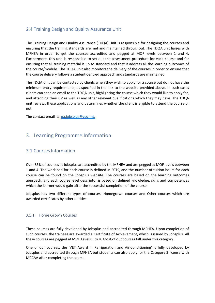# 2.4 Training Design and Quality Assurance Unit

The Training Design and Quality Assurance (TDQA) Unit is responsible for designing the courses and ensuring that the training standards are met and maintained throughout. The TDQA unit liaises with MFHEA in order to get the courses accredited and pegged at MQF levels between 1 and 4. Furthermore, this unit is responsible to set out the assessment procedure for each course and for ensuring that all training material is up to standard and that it address all the learning outcomes of the course/module. The TDQA unit also monitors the delivery of the courses in order to ensure that the course delivery follows a student-centred approach and standards are maintained.

The TDQA unit can be contacted by clients when they wish to apply for a course but do not have the minimum entry requirements, as specified in the link to the website provided above. In such cases clients can send an email to the TDQA unit, highlighting the course which they would like to apply for, and attaching their CV as well as any other relevant qualifications which they may have. The TDQA unit reviews these applications and determines whether the client is eligible to attend the course or not.

The contact email is: qa.jobsplus@gov.mt.

# 3. Learning Programme Information

# 3.1 Courses Information

Over 85% of courses at Jobsplus are accredited by the MFHEA and are pegged at MQF levels between 1 and 4. The workload for each course is defined in ECTS, and the number of tuition hours for each course can be found on the Jobsplus website. The courses are based on the learning outcomes approach, and each course level descriptor is based on defined knowledge, skills and competences which the learner would gain after the successful completion of the course.

Jobsplus has two different types of courses: Homegrown courses and Other courses which are awarded certificates by other entities.

#### 3.1.1 Home Grown Courses

These courses are fully developed by Jobsplus and accredited through MFHEA. Upon completion of such courses, the trainees are awarded a Certificate of Achievement, which is issued by Jobsplus. All these courses are pegged at MQF Levels 1 to 4. Most of our courses fall under this category.

One of our courses, the 'VET Award in Refrigeration and Air-conditioning' is fully developed by Jobsplus and accredited through MFHEA but students can also apply for the Category 3 license with MCCAA after completing the course.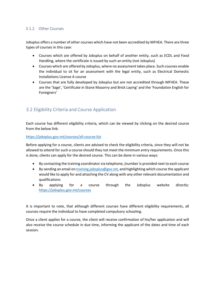## 3.1.2 Other Courses

Jobsplus offers a number of other courses which have not been accredited by MFHEA. There are three types of courses in this case:

- Courses which are offered by Jobsplus on behalf of another entity, such as ECDL and Food Handling, where the certificate is issued by such an entity (not Jobsplus)
- Courses which are offered by Jobsplus, where no assessment takes place. Such courses enable the individual to sit for an assessment with the legal entity, such as Electrical Domestic Installations License A course
- Courses that are fully developed by Jobsplus but are not accredited through MFHEA. These are the 'Sage', 'Certificate in Stone Masonry and Brick Laying' and the 'Foundation English for Foreigners'

# 3.2 Eligibility Criteria and Course Application

Each course has different eligibility criteria, which can be viewed by clicking on the desired course from the below link:

#### https://jobsplus.gov.mt/courses/all-course-list

Before applying for a course, clients are advised to check the eligibility criteria, since they will not be allowed to attend for such a course should they not meet the minimum entry requirements. Once this is done, clients can apply for the desired course. This can be done in various ways:

- By contacting the training coordinator via telephone, (number is provided next to each course
- By sending an email on training.jobsplus@gov.mt, and highlighting which course the applicant would like to apply for and attaching the CV along with any other relevant documentation and qualifications
- By applying for a course through the Jobsplus website directly: https://jobsplus.gov.mt/courses

It is important to note, that although different courses have different eligibility requirements, all courses require the individual to have completed compulsory schooling.

Once a client applies for a course, the client will receive confirmation of his/her application and will also receive the course schedule in due time, informing the applicant of the dates and time of each session.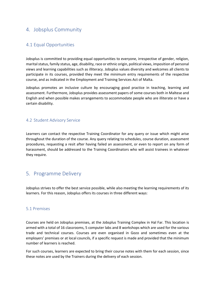# 4. Jobsplus Community

# 4.1 Equal Opportunities

Jobsplus is committed to providing equal opportunities to everyone, irrespective of gender, religion, marital status, family status, age, disability, race or ethnic origin, political views, imposition of personal views and learning capabilities such as illiteracy. Jobsplus values diversity and welcomes all clients to participate in its courses, provided they meet the minimum entry requirements of the respective course, and as indicated in the Employment and Training Services Act of Malta.

Jobsplus promotes an inclusive culture by encouraging good practice in teaching, learning and assessment. Furthermore, Jobsplus provides assessment papers of some courses both in Maltese and English and when possible makes arrangements to accommodate people who are illiterate or have a certain disability.

# 4.2 Student Advisory Service

Learners can contact the respective Training Coordinator for any query or issue which might arise throughout the duration of the course. Any query relating to schedules, course duration, assessment procedures, requesting a resit after having failed an assessment, or even to report on any form of harassment, should be addressed to the Training Coordinators who will assist trainees in whatever they require.

# 5. Programme Delivery

Jobsplus strives to offer the best service possible, while also meeting the learning requirements of its learners. For this reason, Jobsplus offers its courses in three different ways:

## 5.1 Premises

Courses are held on Jobsplus premises, at the Jobsplus Training Complex in Hal Far. This location is armed with a total of 16 classrooms, 5 computer labs and 8 workshops which are used for the various trade and technical courses. Courses are even organised in Gozo and sometimes even at the employers' premises or at local councils, if a specific request is made and provided that the minimum number of learners is reached.

For such courses, learners are expected to bring their course notes with them for each session, since these notes are used by the Trainers during the delivery of each session.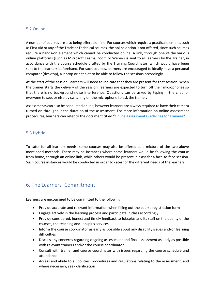## 5.2 Online

A number of courses are also being offered online. For courses which require a practical element, such as First Aid or any of the Trade or Technical courses, the online option is not offered, since such courses require a hands-on element which cannot be conducted online. A link, through one of the various online platforms (such as Microsoft Teams, Zoom or Webex) is sent to all learners by the Trainer, in accordance with the course schedule drafted by the Training Coordinator, which would have been sent to the learners beforehand. For such courses, learners are encouraged to ideally have a personal computer (desktop), a laptop or a tablet to be able to follow the sessions accordingly.

At the start of the session, learners will need to indicate that they are present for that session. When the trainer starts the delivery of the session, learners are expected to turn off their microphones so that there is no background noise interference. Questions can be asked by typing in the chat for everyone to see, or else by switching on the microphone to ask the trainer.

Assessments can also be conducted online, however learners are always required to have their camera turned on throughout the duration of the assessment. For more information on online assessment procedures, learners can refer to the document titled "Online Assessment Guidelines for Trainees".

## 5.3 Hybrid

To cater for all learners needs, some courses may also be offered as a mixture of the two above mentioned methods. There may be instances where some learners would be following the course from home, through an online link, while others would be present in class for a face-to-face session. Such course instances would be conducted in order to cater for the different needs of the learners.

# 6. The Learners' Commitment

Learners are encouraged to be committed to the following:

- Provide accurate and relevant information when filling out the course registration form
- Engage actively in the learning process and participate in class accordingly
- Provide considered, honest and timely feedback to Jobsplus and its staff on the quality of the courses, the teaching and Jobsplus services.
- Inform the course coordinator as early as possible about any disability issues and/or learning difficulties
- Discuss any concerns regarding ongoing assessment and final assessment as early as possible with relevant trainers and/or the course coordinator
- Consult with trainer and course coordinator with issues regarding the course schedule and attendance
- Access and abide to all policies, procedures and regulations relating to the assessment, and where necessary, seek clarification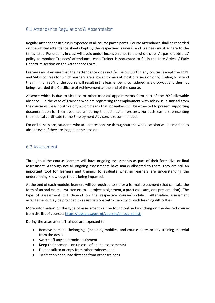# 6.1 Attendance Regulations & Absenteeism

Regular attendance in class is expected of all course participants. Course Attendance shall be recorded on the official attendance sheets kept by the respective Trainer/s and Trainees must adhere to the times listed. Punctuality in class will avoid undue inconvenience to the whole class. As part of Jobsplus' policy to monitor Trainees' attendance, each Trainer is requested to fill in the Late Arrival / Early Departure section on the Attendance Form.

Learners must ensure that their attendance does not fall below 80% in any course (except the ECDL and SAGE courses for which learners are allowed to miss at most one session only). Failing to attend the minimum 80% of the course will result in the learner being considered as a drop-out and thus not being awarded the Certificate of Achievement at the end of the course.

Absence which is due to sickness or other medical appointments form part of the 20% allowable absence. In the case of Trainees who are registering for employment with Jobsplus, dismissal from the course will lead to strike off, which means that jobseekers will be expected to present supporting documentation for their absenteeism during the justification process. For such learners, presenting the medical certificate to the Employment Advisors is recommended.

For online sessions, students who are not responsive throughout the whole session will be marked as absent even if they are logged in the session.

## 6.2 Assessment

Throughout the course, learners will have ongoing assessments as part of their formative or final assessment. Although not all ongoing assessments have marks allocated to them, they are still an important tool for learners and trainers to evaluate whether learners are understanding the underpinning knowledge that is being imparted.

At the end of each module, learners will be required to sit for a formal assessment (that can take the form of an oral exam, a written exam, a project assignment, a practical exam, or a presentation). The type of assessment will depend on the respective course/module. Alternative assessment arrangements may be provided to assist persons with disability or with learning difficulties.

More information on the type of assessment can be found online by clicking on the desired course from the list of courses: https://jobsplus.gov.mt/courses/all-course-list.

During the assessment, Trainees are expected to:

- Remove personal belongings (including mobiles) and course notes or any training material from the desks
- Switch off any electronic equipment
- Keep their cameras on (in case of online assessments)
- Do not talk to or copy from other trainees; and
- To sit at an adequate distance from other trainees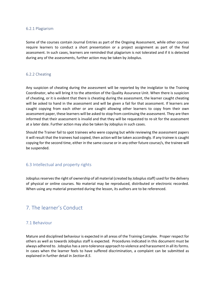#### 6.2.1 Plagiarism

Some of the courses contain Journal Entries as part of the Ongoing Assessment, while other courses require learners to conduct a short presentation or a project assignment as part of the final assessment. In such cases, learners are reminded that plagiarism is not tolerated and if it is detected during any of the assessments, further action may be taken by Jobsplus.

#### 6.2.2 Cheating

Any suspicion of cheating during the assessment will be reported by the invigilator to the Training Coordinator, who will bring it to the attention of the Quality Assurance Unit. When there is suspicion of cheating, or it is evident that there is cheating during the assessment, the learner caught cheating will be asked to hand in the assessment and will be given a fail for that assessment. If learners are caught copying from each other or are caught allowing other learners to copy from their own assessment paper, these learners will be asked to stop from continuing the assessment. They are then informed that their assessment is invalid and that they will be requested to re-sit for the assessment at a later date. Further action may also be taken by Jobsplus in such cases.

Should the Trainer fail to spot trainees who were copying but while reviewing the assessment papers it will result that the trainees had copied, then action will be taken accordingly. If any trainee is caught copying for the second time, either in the same course or in any other future course/s, the trainee will be suspended.

#### 6.3 Intellectual and property rights

Jobsplus reserves the right of ownership of all material (created by Jobsplus staff) used for the delivery of physical or online courses. No material may be reproduced, distributed or electronic recorded. When using any material presented during the lesson, its authors are to be referenced.

# 7. The learner's Conduct

#### 7.1 Behaviour

Mature and disciplined behaviour is expected in all areas of the Training Complex. Proper respect for others as well as towards Jobsplus staff is expected. Procedures indicated in this document must be always adhered to. Jobsplus has a zero-tolerance approach to violence and harassment in all its forms. In cases when the learner feels to have suffered discrimination, a complaint can be submitted as explained in further detail in Section 8.5.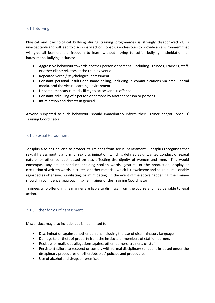## 7.1.1 Bullying

Physical and psychological bullying during training programmes is strongly disapproved of, is unacceptable and will lead to disciplinary action. Jobsplus endeavours to provide an environment that will give all learners the freedom to learn without having to suffer bullying, intimidation, or harassment. Bullying includes:

- Aggressive behaviour towards another person or persons including Trainees, Trainers, staff, or other clients/visitors at the training venue
- Repeated verbal/ psychological harassment
- Constant personal insults and name calling, including in communications via email, social media, and the virtual learning environment
- Uncomplimentary remarks likely to cause serious offence
- Constant ridiculing of a person or persons by another person or persons
- Intimidation and threats in general

Anyone subjected to such behaviour, should immediately inform their Trainer and/or Jobsplus' Training Coordinator.

## 7.1.2 Sexual Harassment

Jobsplus also has policies to protect its Trainees from sexual harassment. Jobsplus recognises that sexual harassment is a form of sex discrimination, which is defined as unwanted conduct of sexual nature, or other conduct based on sex, affecting the dignity of women and men. This would encompass any act or conduct including spoken words, gestures or the production, display or circulation of written words, pictures, or other material, which is unwelcome and could be reasonably regarded as offensive, humiliating, or intimidating. In the event of the above happening, the Trainee should, in confidence, approach his/her Trainer or the Training Coordinator.

Trainees who offend in this manner are liable to dismissal from the course and may be liable to legal action.

## 7.1.3 Other forms of harassment

Misconduct may also include, but is not limited to:

- Discrimination against another person, including the use of discriminatory language
- Damage to or theft of property from the institute or members of staff or learners
- Reckless or malicious allegations against other learners, trainers, or staff
- Persistent failure to respond or comply with formal disciplinary sanctions imposed under the disciplinary procedures or other Jobsplus' policies and procedures
- Use of alcohol and drugs on premises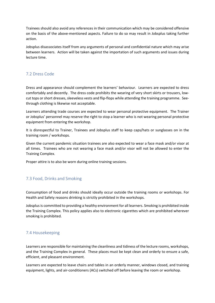Trainees should also avoid any references in their communication which may be considered offensive on the basis of the above-mentioned aspects. Failure to do so may result in Jobsplus taking further action.

Jobsplus disassociates itself from any arguments of personal and confidential nature which may arise between learners. Action will be taken against the importation of such arguments and issues during lecture time.

## 7.2 Dress Code

Dress and appearance should complement the learners' behaviour. Learners are expected to dress comfortably and decently. The dress code prohibits the wearing of very short skirts or trousers, lowcut tops or short dresses, sleeveless vests and flip-flops while attending the training programme. Seethrough clothing is likewise not acceptable.

Learners attending trade courses are expected to wear personal protective equipment. The Trainer or Jobsplus' personnel may reserve the right to stop a learner who is not wearing personal protective equipment from entering the workshop.

It is disrespectful to Trainer, Trainees and Jobsplus staff to keep caps/hats or sunglasses on in the training room / workshops.

Given the current pandemic situation trainees are also expected to wear a face mask and/or visor at all times. Trainees who are not wearing a face mask and/or visor will not be allowed to enter the Training Complex.

Proper attire is to also be worn during online training sessions.

## 7.3 Food, Drinks and Smoking

Consumption of food and drinks should ideally occur outside the training rooms or workshops. For Health and Safety reasons drinking is strictly prohibited in the workshops.

Jobsplus is committed to providing a healthy environment for all learners. Smoking is prohibited inside the Training Complex. This policy applies also to electronic cigarettes which are prohibited wherever smoking is prohibited.

# 7.4 Housekeeping

Learners are responsible for maintaining the cleanliness and tidiness of the lecture rooms, workshops, and the Training Complex in general. These places must be kept clean and orderly to ensure a safe, efficient, and pleasant environment.

Learners are expected to leave chairs and tables in an orderly manner, windows closed, and training equipment, lights, and air-conditioners (ACs) switched off before leaving the room or workshop.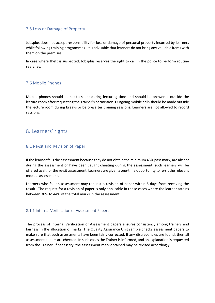## 7.5 Loss or Damage of Property

Jobsplus does not accept responsibility for loss or damage of personal property incurred by learners while following training programmes. It is advisable that learners do not bring any valuable items with them on the premises.

In case where theft is suspected, Jobsplus reserves the right to call in the police to perform routine searches.

# 7.6 Mobile Phones

Mobile phones should be set to silent during lecturing time and should be answered outside the lecture room after requesting the Trainer's permission. Outgoing mobile calls should be made outside the lecture room during breaks or before/after training sessions. Learners are not allowed to record sessions.

# 8. Learners' rights

## 8.1 Re-sit and Revision of Paper

If the learner fails the assessment because they do not obtain the minimum 45% pass mark, are absent during the assessment or have been caught cheating during the assessment, such learners will be offered to sit for the re-sit assessment. Learners are given a one-time opportunity to re-sit the relevant module assessment.

Learners who fail an assessment may request a revision of paper within 5 days from receiving the result. The request for a revision of paper is only applicable in those cases where the learner attains between 30% to 44% of the total marks in the assessment.

#### 8.1.1 Internal Verification of Assessment Papers

The process of Internal Verification of Assessment papers ensures consistency among trainers and fairness in the allocation of marks. The Quality Assurance Unit sample checks assessment papers to make sure that such assessments have been fairly corrected. If any discrepancies are found, then all assessment papers are checked. In such cases the Trainer is informed, and an explanation is requested from the Trainer. If necessary, the assessment mark obtained may be revised accordingly.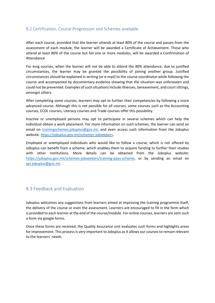# 8.2 Certification, Course Progression and Schemes available

After each course, provided that the learner attends at least 80% of the course and passes from the assessment of each module, the learner will be awarded a Certificate of Achievement. Those who attend at least 80% of the course but fail one or more modules, will be awarded a Confirmation of Attendance.

For long courses, when the learner will not be able to attend the 80% attendance, due to justified circumstances, the learner may be granted the possibility of joining another group. Justified circumstances should be explained in writing (or e-mail) to the course coordinator while following the course and accompanied by documentary evidence showing that the situation was unforeseen and could not be prevented. Examples of such situations include illnesses, bereavement, and court sittings, amongst others.

After completing some courses, learners may opt to further their competencies by following a more advanced course. Although this is not possible for all courses, some courses such as the Accounting courses, ECDL courses, Literacy courses and Trade courses offer this possibility.

Inactive or unemployed persons may opt to participate in several schemes which can help the individual obtain a work placement. For more information on such schemes, the learner can send an email on trainingschemes.jobsplus@gov.mt, and even access such information from the Jobsplus website: https://jobsplus.gov.mt/schemes-jobseekers.

Employed or unemployed individuals who would like to follow a course, which is not offered by Jobsplus can benefit from a scheme, which enables them to acquire funding to further their studies with other institutions. More details can be obtained from the Jobsplus website: https://jobsplus.gov.mt/schemes-jobseekers/training-pays-scheme, or by sending an email on tps.jobsplus@gov.mt.

# 8.3 Feedback and Evaluation

Jobsplus welcomes any suggestions from learners aimed at improving the training programme itself, the delivery of the course or even the assessment. Learners are encouraged to fill in the form which is provided to each learner at the end of the course/module. For online courses, learners are sent such a form via google forms.

Once these forms are received, the Quality Assurance unit evaluates such forms and highlights areas for improvement. This process is very important to Jobsplus as it allows our courses to remain relevant to the learners' needs.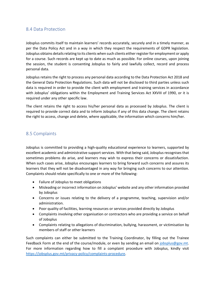# 8.4 Data Protection

Jobsplus commits itself to maintain learners' records accurately, securely and in a timely manner, as per the Data Policy Act and in a way in which they respect the requirements of GDPR legislation. Jobsplus obtains details relating to its clients when such clients either register for employment or apply for a course. Such records are kept up to date as much as possible. For online courses, upon joining the session, the student is consenting Jobsplus to fairly and lawfully collect, record and process personal data.

Jobsplus retains the right to process any personal data according to the Data Protection Act 2018 and the General Data Protection Regulations. Such data will not be disclosed to third parties unless such data is required in order to provide the client with employment and training services in accordance with Jobsplus' obligations within the Employment and Training Services Act XXVIII of 1990, or it is required under any other specific law.

The client retains the right to access his/her personal data as processed by Jobsplus. The client is required to provide correct data and to inform Jobsplus if any of this data change. The client retains the right to access, change and delete, where applicable, the information which concerns him/her.

# 8.5 Complaints

Jobsplus is committed to providing a high-quality educational experience to learners, supported by excellent academic and administrative support services. With that being said, Jobsplus recognises that sometimes problems do arise, and learners may wish to express their concerns or dissatisfaction. When such cases arise, Jobsplus encourages learners to bring forward such concerns and assures its learners that they will not be disadvantaged in any way for bringing such concerns to our attention. Complaints should relate specifically to one or more of the following:

- Failure of Jobsplus to meet obligations
- Misleading or incorrect information on Jobsplus' website and any other information provided by Jobsplus
- Concerns or issues relating to the delivery of a programme, teaching, supervision and/or administration.
- Poor quality of facilities, learning resources or services provided directly by Jobsplus
- Complaints involving other organisation or contractors who are providing a service on behalf of Jobsplus
- Complaints relating to allegations of discrimination, bullying, harassment, or victimisation by members of staff or other learners

Such complaints can either be submitted to the Training Coordinator, by filling out the Trainee Feedback Form at the end of the course/module, or even by sending an email on jobsplus@gov.mt. For more information regarding how to fill a complaint procedure with Jobsplus, kindly visit https://jobsplus.gov.mt/privacy-policy/complaints-procedure.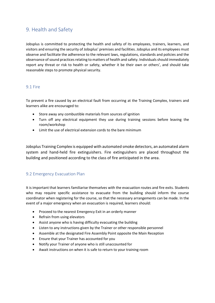# 9. Health and Safety

Jobsplus is committed to protecting the health and safety of its employees, trainers, learners, and visitors and ensuring the security of Jobsplus' premises and facilities. Jobsplus and its employees must observe and facilitate the adherence to the relevant laws, regulations, standards and policies and the observance of sound practices relating to matters of health and safety. Individuals should immediately report any threat or risk to health or safety, whether it be their own or others', and should take reasonable steps to promote physical security.

## 9.1 Fire

To prevent a fire caused by an electrical fault from occurring at the Training Complex, trainers and learners alike are encouraged to:

- Store away any combustible materials from sources of ignition
- Turn off any electrical equipment they use during training sessions before leaving the room/workshop
- Limit the use of electrical extension cords to the bare minimum

Jobsplus Training Complex is equipped with automated smoke detectors, an automated alarm system and hand-held fire extinguishers. Fire extinguishers are placed throughout the building and positioned according to the class of fire anticipated in the area.

# 9.2 Emergency Evacuation Plan

It is important that learners familiarise themselves with the evacuation routes and fire exits. Students who may require specific assistance to evacuate from the building should inform the course coordinator when registering for the course, so that the necessary arrangements can be made. In the event of a major emergency when an evacuation is required, learners should:

- Proceed to the nearest Emergency Exit in an orderly manner
- Refrain from using elevators
- Assist anyone who is having difficulty evacuating the building
- Listen to any instructions given by the Trainer or other responsible personnel
- Assemble at the designated Fire Assembly Point opposite the Main Reception
- Ensure that your Trainer has accounted for you
- Notify your Trainer of anyone who is still unaccounted for
- Await instructions on when it is safe to return to your training room